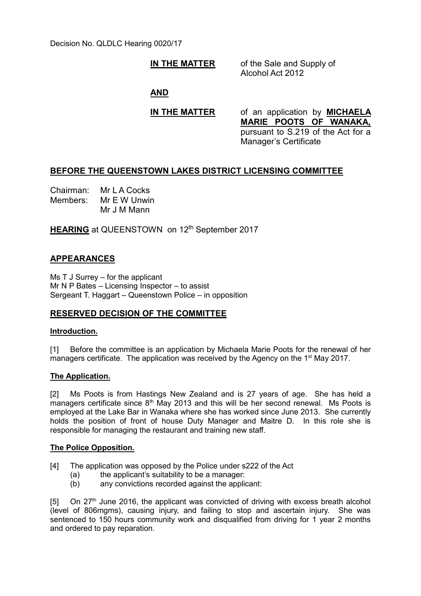Decision No. QLDLC Hearing 0020/17

## **IN THE MATTER** of the Sale and Supply of

Alcohol Act 2012

**AND**

**IN THE MATTER** of an application by **MICHAELA MARIE POOTS OF WANAKA,** pursuant to S.219 of the Act for a Manager's Certificate

## **BEFORE THE QUEENSTOWN LAKES DISTRICT LICENSING COMMITTEE**

Chairman: Mr L A Cocks Members: Mr E W Unwin Mr J M Mann

**HEARING** at QUEENSTOWN on 12<sup>th</sup> September 2017

# **APPEARANCES**

Ms T J Surrey – for the applicant Mr N P Bates – Licensing Inspector – to assist Sergeant T. Haggart – Queenstown Police – in opposition

# **RESERVED DECISION OF THE COMMITTEE**

## **Introduction.**

[1] Before the committee is an application by Michaela Marie Poots for the renewal of her managers certificate. The application was received by the Agency on the 1<sup>st</sup> May 2017.

## **The Application.**

[2] Ms Poots is from Hastings New Zealand and is 27 years of age. She has held a  $\frac{1}{2}$  managers certificate since 8<sup>th</sup> May 2013 and this will be her second renewal. Ms Poots is employed at the Lake Bar in Wanaka where she has worked since June 2013. She currently holds the position of front of house Duty Manager and Maitre D. In this role she is responsible for managing the restaurant and training new staff.

#### **The Police Opposition.**

- [4] The application was opposed by the Police under s222 of the Act
	- (a) the applicant's suitability to be a manager:
	- (b) any convictions recorded against the applicant:

 $[5]$  On 27<sup>th</sup> June 2016, the applicant was convicted of driving with excess breath alcohol (level of 806mgms), causing injury, and failing to stop and ascertain injury. She was sentenced to 150 hours community work and disqualified from driving for 1 year 2 months and ordered to pay reparation.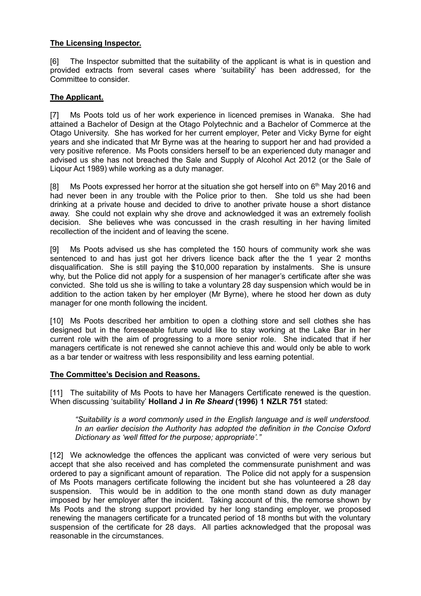## **The Licensing Inspector.**

[6] The Inspector submitted that the suitability of the applicant is what is in question and provided extracts from several cases where 'suitability' has been addressed, for the Committee to consider.

## **The Applicant.**

[7] Ms Poots told us of her work experience in licenced premises in Wanaka. She had attained a Bachelor of Design at the Otago Polytechnic and a Bachelor of Commerce at the Otago University. She has worked for her current employer, Peter and Vicky Byrne for eight years and she indicated that Mr Byrne was at the hearing to support her and had provided a very positive reference. Ms Poots considers herself to be an experienced duty manager and advised us she has not breached the Sale and Supply of Alcohol Act 2012 (or the Sale of Liqour Act 1989) while working as a duty manager.

[8] Ms Poots expressed her horror at the situation she got herself into on  $6<sup>th</sup>$  May 2016 and had never been in any trouble with the Police prior to then. She told us she had been drinking at a private house and decided to drive to another private house a short distance away. She could not explain why she drove and acknowledged it was an extremely foolish decision. She believes whe was concussed in the crash resulting in her having limited recollection of the incident and of leaving the scene.

[9] Ms Poots advised us she has completed the 150 hours of community work she was sentenced to and has just got her drivers licence back after the the 1 year 2 months disqualification. She is still paying the \$10,000 reparation by instalments. She is unsure why, but the Police did not apply for a suspension of her manager's certificate after she was convicted. She told us she is willing to take a voluntary 28 day suspension which would be in addition to the action taken by her employer (Mr Byrne), where he stood her down as duty manager for one month following the incident.

[10] Ms Poots described her ambition to open a clothing store and sell clothes she has designed but in the foreseeable future would like to stay working at the Lake Bar in her current role with the aim of progressing to a more senior role. She indicated that if her managers certificate is not renewed she cannot achieve this and would only be able to work as a bar tender or waitress with less responsibility and less earning potential.

## **The Committee's Decision and Reasons.**

[11] The suitability of Ms Poots to have her Managers Certificate renewed is the question. When discussing 'suitability' **Holland J in** *Re Sheard* **(1996) 1 NZLR 751** stated:

#### *"Suitability is a word commonly used in the English language and is well understood. In an earlier decision the Authority has adopted the definition in the Concise Oxford Dictionary as 'well fitted for the purpose; appropriate'."*

[12] We acknowledge the offences the applicant was convicted of were very serious but accept that she also received and has completed the commensurate punishment and was ordered to pay a significant amount of reparation. The Police did not apply for a suspension of Ms Poots managers certificate following the incident but she has volunteered a 28 day suspension. This would be in addition to the one month stand down as duty manager imposed by her employer after the incident. Taking account of this, the remorse shown by Ms Poots and the strong support provided by her long standing employer, we proposed renewing the managers certificate for a truncated period of 18 months but with the voluntary suspension of the certificate for 28 days. All parties acknowledged that the proposal was reasonable in the circumstances.